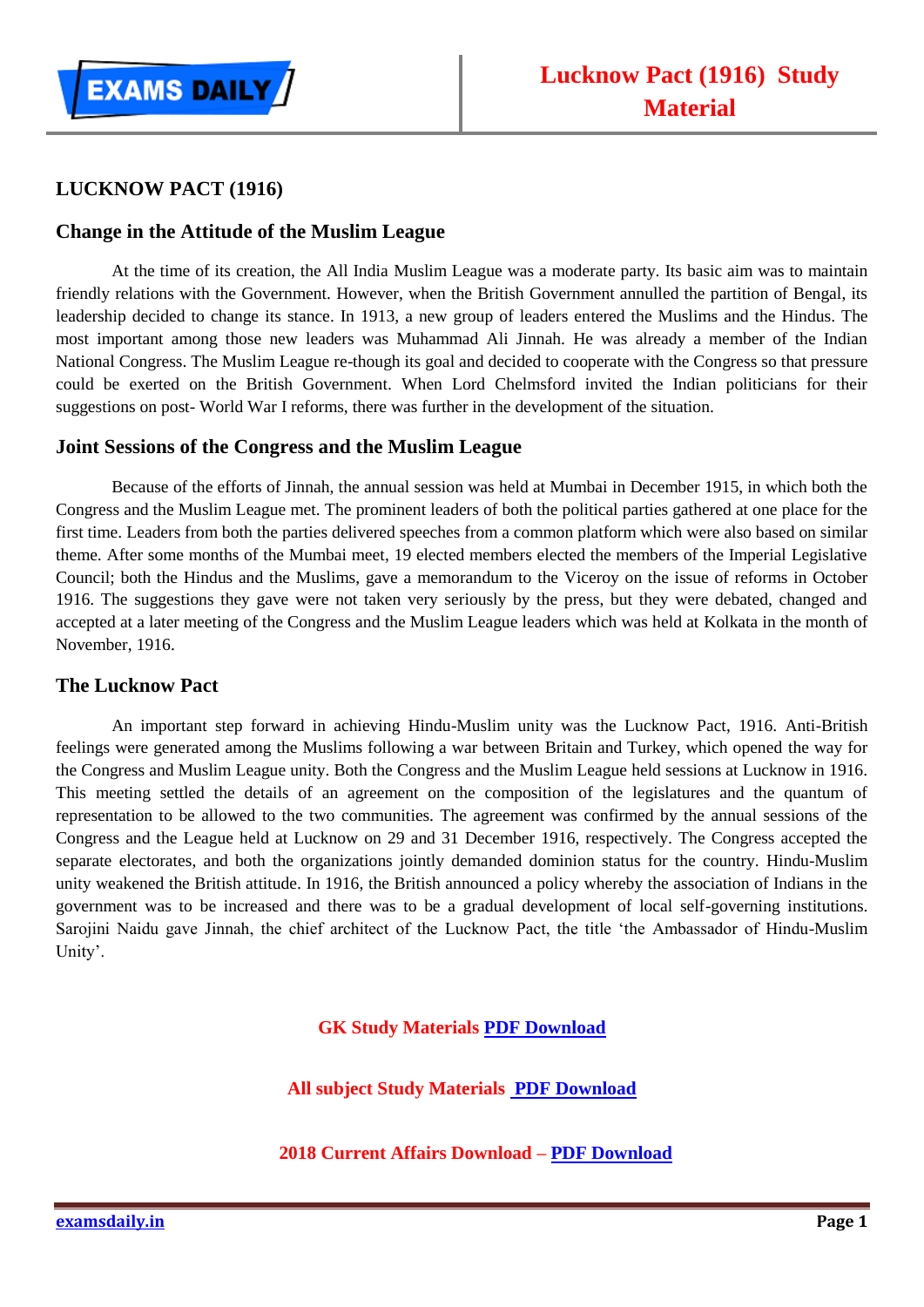

## **LUCKNOW PACT (1916)**

## **Change in the Attitude of the Muslim League**

At the time of its creation, the All India Muslim League was a moderate party. Its basic aim was to maintain friendly relations with the Government. However, when the British Government annulled the partition of Bengal, its leadership decided to change its stance. In 1913, a new group of leaders entered the Muslims and the Hindus. The most important among those new leaders was Muhammad Ali Jinnah. He was already a member of the Indian National Congress. The Muslim League re-though its goal and decided to cooperate with the Congress so that pressure could be exerted on the British Government. When Lord Chelmsford invited the Indian politicians for their suggestions on post- World War I reforms, there was further in the development of the situation.

## **Joint Sessions of the Congress and the Muslim League**

Because of the efforts of Jinnah, the annual session was held at Mumbai in December 1915, in which both the Congress and the Muslim League met. The prominent leaders of both the political parties gathered at one place for the first time. Leaders from both the parties delivered speeches from a common platform which were also based on similar theme. After some months of the Mumbai meet, 19 elected members elected the members of the Imperial Legislative Council; both the Hindus and the Muslims, gave a memorandum to the Viceroy on the issue of reforms in October 1916. The suggestions they gave were not taken very seriously by the press, but they were debated, changed and accepted at a later meeting of the Congress and the Muslim League leaders which was held at Kolkata in the month of November, 1916.

## **The Lucknow Pact**

An important step forward in achieving Hindu-Muslim unity was the Lucknow Pact, 1916. Anti-British feelings were generated among the Muslims following a war between Britain and Turkey, which opened the way for the Congress and Muslim League unity. Both the Congress and the Muslim League held sessions at Lucknow in 1916. This meeting settled the details of an agreement on the composition of the legislatures and the quantum of representation to be allowed to the two communities. The agreement was confirmed by the annual sessions of the Congress and the League held at Lucknow on 29 and 31 December 1916, respectively. The Congress accepted the separate electorates, and both the organizations jointly demanded dominion status for the country. Hindu-Muslim unity weakened the British attitude. In 1916, the British announced a policy whereby the association of Indians in the government was to be increased and there was to be a gradual development of local self-governing institutions. Sarojini Naidu gave Jinnah, the chief architect of the Lucknow Pact, the title 'the Ambassador of Hindu-Muslim Unity'.

**GK Study Materials [PDF Download](https://goo.gl/emKkLo)**

**All subject Study Materials [PDF Download](https://goo.gl/f4VGSW)**

**2018 Current Affairs Download – [PDF Download](http://bit.ly/2MYG7pH)**